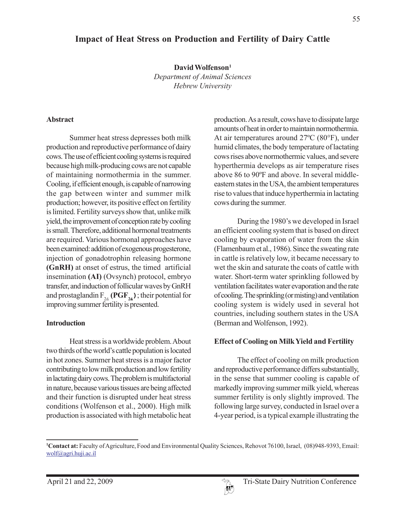# **Impact of Heat Stress on Production and Fertility of Dairy Cattle**

**David Wolfenson1** *Department of Animal Sciences Hebrew University*

#### **Abstract**

Summer heat stress depresses both milk production and reproductive performance of dairy cows. The use of efficient cooling systems is required because high milk-producing cows are not capable of maintaining normothermia in the summer. Cooling, if efficient enough, is capable of narrowing the gap between winter and summer milk production; however, its positive effect on fertility is limited. Fertility surveys show that, unlike milk yield, the improvement of conception rate by cooling is small. Therefore, additional hormonal treatments are required. Various hormonal approaches have been examined: addition of exogenous progesterone, injection of gonadotrophin releasing hormone **(GnRH)** at onset of estrus, the timed artificial insemination **(AI)** (Ovsynch) protocol, embryo transfer, and induction of follicular waves by GnRH and prostaglandin  $F_{2\acute{a}}$  (PGF $_{2\acute{a}}$ ); their potential for improving summer fertility is presented.

#### **Introduction**

Heat stress is a worldwide problem. About two thirds of the world's cattle population is located in hot zones. Summer heat stress is a major factor contributing to low milk production and low fertility in lactating dairy cows. The problem is multifactorial in nature, because various tissues are being affected and their function is disrupted under heat stress conditions (Wolfenson et al., 2000). High milk production is associated with high metabolic heat production. As a result, cows have to dissipate large amounts of heat in order to maintain normothermia. At air temperatures around 27ºC (80°F), under humid climates, the body temperature of lactating cows rises above normothermic values, and severe hyperthermia develops as air temperature rises above 86 to 90ºF and above. In several middleeastern states in the USA, the ambient temperatures rise to values that induce hyperthermia in lactating cows during the summer.

During the 1980's we developed in Israel an efficient cooling system that is based on direct cooling by evaporation of water from the skin (Flamenbaum et al., 1986). Since the sweating rate in cattle is relatively low, it became necessary to wet the skin and saturate the coats of cattle with water. Short-term water sprinkling followed by ventilation facilitates water evaporation and the rate of cooling. The sprinkling (or misting) and ventilation cooling system is widely used in several hot countries, including southern states in the USA (Berman and Wolfenson, 1992).

### **Effect of Cooling on Milk Yield and Fertility**

The effect of cooling on milk production and reproductive performance differs substantially, in the sense that summer cooling is capable of markedly improving summer milk yield, whereas summer fertility is only slightly improved. The following large survey, conducted in Israel over a 4-year period, is a typical example illustrating the

**<sup>1</sup> Contact at:** Faculty of Agriculture, Food and Environmental Quality Sciences, Rehovot 76100, Israel, (08)948-9393, Email: wolf@agri.huji.ac.il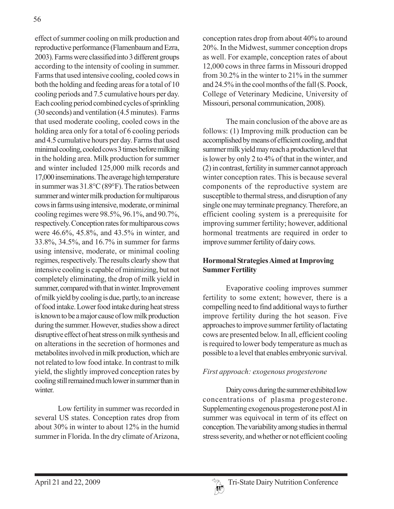effect of summer cooling on milk production and reproductive performance (Flamenbaum and Ezra, 2003). Farms were classified into 3 different groups according to the intensity of cooling in summer. Farms that used intensive cooling, cooled cows in both the holding and feeding areas for a total of 10 cooling periods and 7.5 cumulative hours per day. Each cooling period combined cycles of sprinkling (30 seconds) and ventilation (4.5 minutes). Farms that used moderate cooling, cooled cows in the holding area only for a total of 6 cooling periods and 4.5 cumulative hours per day. Farms that used minimal cooling, cooled cows 3 times before milking in the holding area. Milk production for summer and winter included 125,000 milk records and 17,000 inseminations. The average high temperature in summer was 31.8°C (89°F). The ratios between summer and winter milk production for multiparous cows in farms using intensive, moderate, or minimal cooling regimes were 98.5%, 96.1%, and 90.7%, respectively. Conception rates for multiparous cows were 46.6%, 45.8%, and 43.5% in winter, and 33.8%, 34.5%, and 16.7% in summer for farms using intensive, moderate, or minimal cooling regimes, respectively. The results clearly show that intensive cooling is capable of minimizing, but not completely eliminating, the drop of milk yield in summer, compared with that in winter. Improvement of milk yield by cooling is due, partly, to an increase of food intake. Lower food intake during heat stress is known to be a major cause of low milk production during the summer. However, studies show a direct disruptive effect of heat stress on milk synthesis and on alterations in the secretion of hormones and metabolites involved in milk production, which are not related to low food intake. In contrast to milk yield, the slightly improved conception rates by cooling still remained much lower in summer than in winter.

Low fertility in summer was recorded in several US states. Conception rates drop from about 30% in winter to about 12% in the humid summer in Florida. In the dry climate of Arizona,

conception rates drop from about 40% to around 20%. In the Midwest, summer conception drops as well. For example, conception rates of about 12,000 cows in three farms in Missouri dropped from 30.2% in the winter to 21% in the summer and 24.5% in the cool months of the fall (S. Poock, College of Veterinary Medicine, University of Missouri, personal communication, 2008).

The main conclusion of the above are as follows: (1) Improving milk production can be accomplished by means of efficient cooling, and that summer milk yield may reach a production level that is lower by only 2 to 4% of that in the winter, and (2) in contrast, fertility in summer cannot approach winter conception rates. This is because several components of the reproductive system are susceptible to thermal stress, and disruption of any single one may terminate pregnancy. Therefore, an efficient cooling system is a prerequisite for improving summer fertility; however, additional hormonal treatments are required in order to improve summer fertility of dairy cows.

# **Hormonal Strategies Aimed at Improving Summer Fertility**

Evaporative cooling improves summer fertility to some extent; however, there is a compelling need to find additional ways to further improve fertility during the hot season. Five approaches to improve summer fertility of lactating cows are presented below. In all, efficient cooling is required to lower body temperature as much as possible to a level that enables embryonic survival.

# *First approach: exogenous progesterone*

Dairy cows during the summer exhibited low concentrations of plasma progesterone. Supplementing exogenous progesterone post AI in summer was equivocal in term of its effect on conception. The variability among studies in thermal stress severity, and whether or not efficient cooling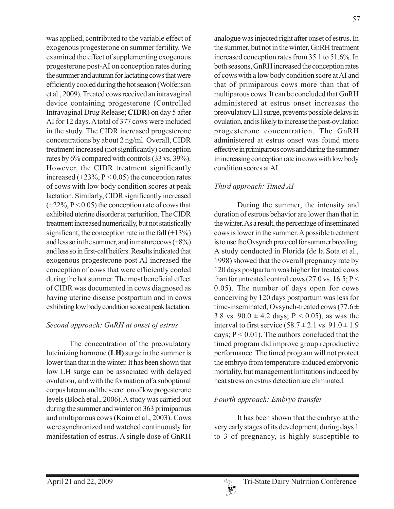was applied, contributed to the variable effect of exogenous progesterone on summer fertility. We examined the effect of supplementing exogenous progesterone post-AI on conception rates during the summer and autumn for lactating cows that were efficiently cooled during the hot season (Wolfenson et al., 2009). Treated cows received an intravaginal device containing progesterone (Controlled Intravaginal Drug Release; **CIDR**) on day 5 after AI for 12 days. A total of 377 cows were included in the study. The CIDR increased progesterone concentrations by about 2 ng/ml. Overall, CIDR treatment increased (not significantly) conception rates by 6% compared with controls (33 vs. 39%). However, the CIDR treatment significantly increased  $(+23\%, P < 0.05)$  the conception rates of cows with low body condition scores at peak lactation. Similarly, CIDR significantly increased  $(+22\%, P<0.05)$  the conception rate of cows that exhibited uterine disorder at parturition. The CIDR treatment increased numerically, but not statistically significant, the conception rate in the fall  $(+13%)$ and less so in the summer, and in mature cows  $(+8%)$ and less so in first-calf heifers. Results indicated that exogenous progesterone post AI increased the conception of cows that were efficiently cooled during the hot summer. The most beneficial effect of CIDR was documented in cows diagnosed as having uterine disease postpartum and in cows exhibiting low body condition score at peak lactation.

# *Second approach: GnRH at onset of estrus*

The concentration of the preovulatory luteinizing hormone **(LH)** surge in the summer is lower than that in the winter. It has been shown that low LH surge can be associated with delayed ovulation, and with the formation of a suboptimal corpus luteum and the secretion of low progesterone levels (Bloch et al., 2006). A study was carried out during the summer and winter on 363 primiparous and multiparous cows (Kaim et al., 2003). Cows were synchronized and watched continuously for manifestation of estrus. A single dose of GnRH

analogue was injected right after onset of estrus. In the summer, but not in the winter, GnRH treatment increased conception rates from 35.1 to 51.6%. In both seasons, GnRH increased the conception rates of cows with a low body condition score at AI and that of primiparous cows more than that of multiparous cows. It can be concluded that GnRH administered at estrus onset increases the preovulatory LH surge, prevents possible delays in ovulation, and is likely to increase the post-ovulation progesterone concentration. The GnRH administered at estrus onset was found more effective in primiparous cows and during the summer in increasing conception rate in cows with low body condition scores at AI.

# *Third approach: Timed AI*

During the summer, the intensity and duration of estrous behavior are lower than that in the winter. As a result, the percentage of inseminated cows is lower in the summer. A possible treatment is to use the Ovsynch protocol for summer breeding. A study conducted in Florida (de la Sota et al., 1998) showed that the overall pregnancy rate by 120 days postpartum was higher for treated cows than for untreated control cows (27.0 vs. 16.5;  $P$  < 0.05). The number of days open for cows conceiving by 120 days postpartum was less for time-inseminated, Ovsynch-treated cows (77.6  $\pm$ 3.8 vs.  $90.0 \pm 4.2$  days; P < 0.05), as was the interval to first service  $(58.7 \pm 2.1 \text{ vs. } 91.0 \pm 1.9$ days;  $P < 0.01$ ). The authors concluded that the timed program did improve group reproductive performance. The timed program will not protect the embryo from temperature-induced embryonic mortality, but management limitations induced by heat stress on estrus detection are eliminated.

# *Fourth approach: Embryo transfer*

It has been shown that the embryo at the very early stages of its development, during days 1 to 3 of pregnancy, is highly susceptible to

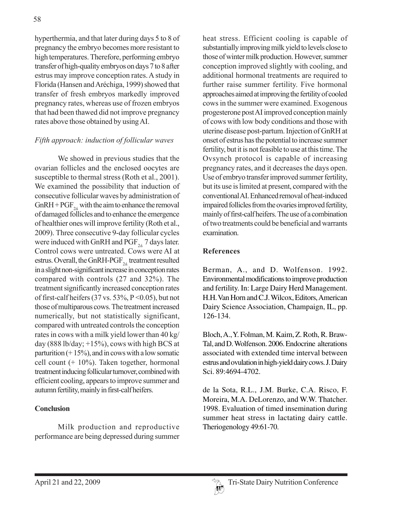hyperthermia, and that later during days 5 to 8 of pregnancy the embryo becomes more resistant to high temperatures. Therefore, performing embryo transfer of high-quality embryos on days 7 to 8 after estrus may improve conception rates. A study in Florida (Hansen and Aréchiga, 1999) showed that transfer of fresh embryos markedly improved pregnancy rates, whereas use of frozen embryos that had been thawed did not improve pregnancy rates above those obtained by using AI.

# *Fifth approach: induction of follicular waves*

We showed in previous studies that the ovarian follicles and the enclosed oocytes are susceptible to thermal stress (Roth et al., 2001). We examined the possibility that induction of consecutive follicular waves by administration of GnRH + PGF<sub>24</sub> with the aim to enhance the removal of damaged follicles and to enhance the emergence of healthier ones will improve fertility (Roth et al., 2009). Three consecutive 9-day follicular cycles were induced with GnRH and PGF $_{24}$  7 days later. Control cows were untreated. Cows were AI at estrus. Overall, the GnRH-PGF $_{24}$  treatment resulted in a slight non-significant increase in conception rates compared with controls (27 and 32%). The treatment significantly increased conception rates of first-calf heifers (37 vs. 53%,  $P \le 0.05$ ), but not those of multiparous cows. The treatment increased numerically, but not statistically significant, compared with untreated controls the conception rates in cows with a milk yield lower than 40 kg/ day (888 lb/day;  $+15%$ ), cows with high BCS at parturition  $(+ 15\%)$ , and in cows with a low somatic cell count (+ 10%). Taken together, hormonal treatment inducing follicular turnover, combined with efficient cooling, appears to improve summer and autumn fertility, mainly in first-calf heifers.

# **Conclusion**

Milk production and reproductive performance are being depressed during summer heat stress. Efficient cooling is capable of substantially improving milk yield to levels close to those of winter milk production. However, summer conception improved slightly with cooling, and additional hormonal treatments are required to further raise summer fertility. Five hormonal approaches aimed at improving the fertility of cooled cows in the summer were examined. Exogenous progesterone post AI improved conception mainly of cows with low body conditions and those with uterine disease post-partum. Injection of GnRH at onset of estrus has the potential to increase summer fertility, but it is not feasible to use at this time. The Ovsynch protocol is capable of increasing pregnancy rates, and it decreases the days open. Use of embryo transfer improved summer fertility, but its use is limited at present, compared with the conventional AI. Enhanced removal of heat-induced impaired follicles from the ovaries improved fertility, mainly of first-calf heifers. The use of a combination of two treatments could be beneficial and warrants examination.

### **References**

Berman, A., and D. Wolfenson. 1992. Environmental modifications to improve production and fertility. In: Large Dairy Herd Management. H.H. Van Horn and C.J. Wilcox, Editors, American Dairy Science Association, Champaign, IL, pp. 126-134.

Bloch, A., Y. Folman, M. Kaim, Z. Roth, R. Braw-Tal, and D. Wolfenson. 2006. Endocrine alterations associated with extended time interval between estrus and ovulation in high-yield dairy cows. J. Dairy Sci. 89:4694-4702.

de la Sota, R.L., J.M. Burke, C.A. Risco, F. Moreira, M.A. DeLorenzo, and W.W. Thatcher. 1998. Evaluation of timed insemination during summer heat stress in lactating dairy cattle. Theriogenology 49:61-70.